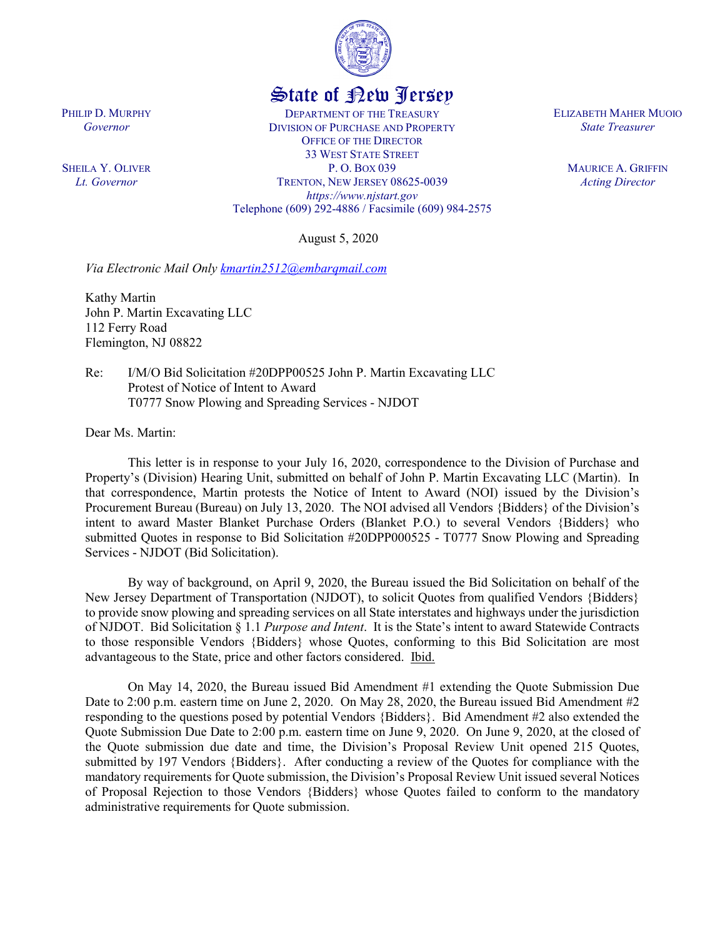

## State of New Jersey

DEPARTMENT OF THE TREASURY DIVISION OF PURCHASE AND PROPERTY OFFICE OF THE DIRECTOR 33 WEST STATE STREET P. O. BOX 039 TRENTON, NEW JERSEY 08625-0039 *https://www.njstart.gov* Telephone (609) 292-4886 / Facsimile (609) 984-2575

August 5, 2020

*Via Electronic Mail Only kmartin2512@embarqmail.com*

Kathy Martin John P. Martin Excavating LLC 112 Ferry Road Flemington, NJ 08822

Re: I/M/O Bid Solicitation #20DPP00525 John P. Martin Excavating LLC Protest of Notice of Intent to Award T0777 Snow Plowing and Spreading Services - NJDOT

Dear Ms. Martin:

This letter is in response to your July 16, 2020, correspondence to the Division of Purchase and Property's (Division) Hearing Unit, submitted on behalf of John P. Martin Excavating LLC (Martin). In that correspondence, Martin protests the Notice of Intent to Award (NOI) issued by the Division's Procurement Bureau (Bureau) on July 13, 2020. The NOI advised all Vendors {Bidders} of the Division's intent to award Master Blanket Purchase Orders (Blanket P.O.) to several Vendors {Bidders} who submitted Quotes in response to Bid Solicitation #20DPP000525 - T0777 Snow Plowing and Spreading Services - NJDOT (Bid Solicitation).

By way of background, on April 9, 2020, the Bureau issued the Bid Solicitation on behalf of the New Jersey Department of Transportation (NJDOT), to solicit Quotes from qualified Vendors {Bidders} to provide snow plowing and spreading services on all State interstates and highways under the jurisdiction of NJDOT. Bid Solicitation § 1.1 *Purpose and Intent*. It is the State's intent to award Statewide Contracts to those responsible Vendors {Bidders} whose Quotes, conforming to this Bid Solicitation are most advantageous to the State, price and other factors considered. Ibid.

On May 14, 2020, the Bureau issued Bid Amendment #1 extending the Quote Submission Due Date to 2:00 p.m. eastern time on June 2, 2020. On May 28, 2020, the Bureau issued Bid Amendment #2 responding to the questions posed by potential Vendors {Bidders}. Bid Amendment #2 also extended the Quote Submission Due Date to 2:00 p.m. eastern time on June 9, 2020. On June 9, 2020, at the closed of the Quote submission due date and time, the Division's Proposal Review Unit opened 215 Quotes, submitted by 197 Vendors {Bidders}. After conducting a review of the Quotes for compliance with the mandatory requirements for Quote submission, the Division's Proposal Review Unit issued several Notices of Proposal Rejection to those Vendors {Bidders} whose Quotes failed to conform to the mandatory administrative requirements for Quote submission.

ELIZABETH MAHER MUOIO *State Treasurer*

> MAURICE A. GRIFFIN *Acting Director*

PHILIP D. MURPHY *Governor*

SHEILA Y. OLIVER *Lt. Governor*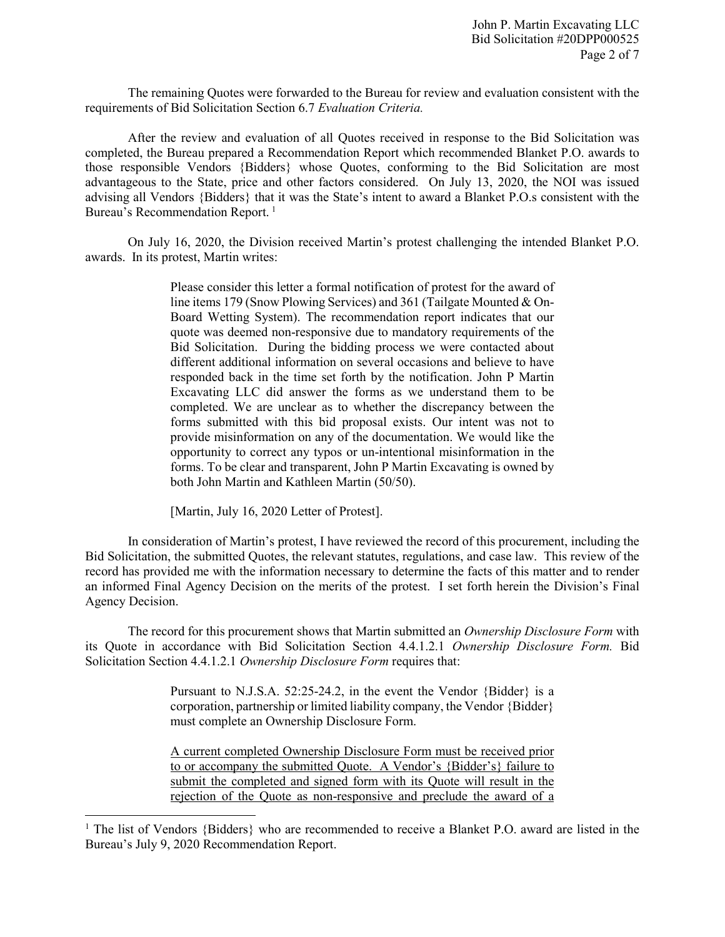The remaining Quotes were forwarded to the Bureau for review and evaluation consistent with the requirements of Bid Solicitation Section 6.7 *Evaluation Criteria.*

After the review and evaluation of all Quotes received in response to the Bid Solicitation was completed, the Bureau prepared a Recommendation Report which recommended Blanket P.O. awards to those responsible Vendors {Bidders} whose Quotes, conforming to the Bid Solicitation are most advantageous to the State, price and other factors considered. On July 13, 2020, the NOI was issued advising all Vendors {Bidders} that it was the State's intent to award a Blanket P.O.s consistent with the Bureau's Recommendation Report.<sup>[1](#page-1-0)</sup>

On July 16, 2020, the Division received Martin's protest challenging the intended Blanket P.O. awards. In its protest, Martin writes:

> Please consider this letter a formal notification of protest for the award of line items 179 (Snow Plowing Services) and 361 (Tailgate Mounted & On-Board Wetting System). The recommendation report indicates that our quote was deemed non-responsive due to mandatory requirements of the Bid Solicitation. During the bidding process we were contacted about different additional information on several occasions and believe to have responded back in the time set forth by the notification. John P Martin Excavating LLC did answer the forms as we understand them to be completed. We are unclear as to whether the discrepancy between the forms submitted with this bid proposal exists. Our intent was not to provide misinformation on any of the documentation. We would like the opportunity to correct any typos or un-intentional misinformation in the forms. To be clear and transparent, John P Martin Excavating is owned by both John Martin and Kathleen Martin (50/50).

[Martin, July 16, 2020 Letter of Protest].

l

In consideration of Martin's protest, I have reviewed the record of this procurement, including the Bid Solicitation, the submitted Quotes, the relevant statutes, regulations, and case law. This review of the record has provided me with the information necessary to determine the facts of this matter and to render an informed Final Agency Decision on the merits of the protest. I set forth herein the Division's Final Agency Decision.

The record for this procurement shows that Martin submitted an *Ownership Disclosure Form* with its Quote in accordance with Bid Solicitation Section 4.4.1.2.1 *Ownership Disclosure Form.* Bid Solicitation Section 4.4.1.2.1 *Ownership Disclosure Form* requires that:

> Pursuant to N.J.S.A. 52:25-24.2, in the event the Vendor {Bidder} is a corporation, partnership or limited liability company, the Vendor {Bidder} must complete an Ownership Disclosure Form.

> A current completed Ownership Disclosure Form must be received prior to or accompany the submitted Quote. A Vendor's {Bidder's} failure to submit the completed and signed form with its Quote will result in the rejection of the Quote as non-responsive and preclude the award of a

<span id="page-1-0"></span><sup>&</sup>lt;sup>1</sup> The list of Vendors {Bidders} who are recommended to receive a Blanket P.O. award are listed in the Bureau's July 9, 2020 Recommendation Report.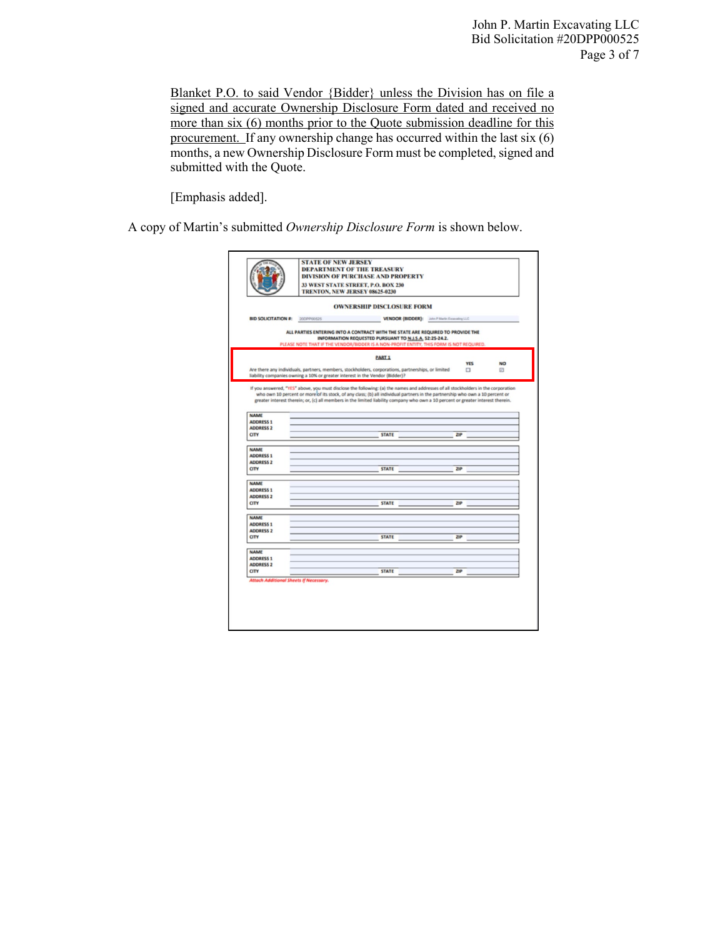Blanket P.O. to said Vendor {Bidder} unless the Division has on file a signed and accurate Ownership Disclosure Form dated and received no more than six (6) months prior to the Quote submission deadline for this procurement. If any ownership change has occurred within the last six (6) months, a new Ownership Disclosure Form must be completed, signed and submitted with the Quote.

[Emphasis added].

A copy of Martin's submitted *Ownership Disclosure Form* is shown below.

|                                                             |            | <b>OWNERSHIP DISCLOSURE FORM</b>                                                                                                                                                                                                      |                                              |                      |                |
|-------------------------------------------------------------|------------|---------------------------------------------------------------------------------------------------------------------------------------------------------------------------------------------------------------------------------------|----------------------------------------------|----------------------|----------------|
| <b>BID SOLICITATION #:</b>                                  | 20DPP00525 |                                                                                                                                                                                                                                       | VENDOR (BIDDER): John P Martin Expending LLC |                      |                |
|                                                             |            | ALL PARTIES ENTERING INTO A CONTRACT WITH THE STATE ARE REQUIRED TO PROVIDE THE<br>INFORMATION REQUESTED PURSUANT TO N.J.S.A. 52:25-24.2.<br>PLEASE NOTE THAT IF THE VENDOR/BIDDER IS A NON-PROFIT ENTITY, THIS FORM IS NOT REQUIRED. |                                              |                      |                |
|                                                             |            | <b>PART 1</b>                                                                                                                                                                                                                         |                                              |                      |                |
|                                                             |            | Are there any individuals, partners, members, stockholders, corporations, partnerships, or limited<br>liability companies owning a 10% or greater interest in the Vendor (Bidder)?                                                    |                                              | <b>YES</b><br>$\Box$ | <b>NO</b><br>回 |
| <b>NAME</b><br><b>ADDRESS 1</b><br><b>ADDRESS 2</b><br>CITY |            | <b>STATE</b>                                                                                                                                                                                                                          |                                              | ZIP                  |                |
| <b>NAME</b>                                                 |            |                                                                                                                                                                                                                                       |                                              |                      |                |
| <b>ADDRESS 1</b>                                            |            |                                                                                                                                                                                                                                       |                                              |                      |                |
| <b>ADDRESS 2</b>                                            |            |                                                                                                                                                                                                                                       |                                              |                      |                |
| <b>CITY</b>                                                 |            | <b>STATE</b>                                                                                                                                                                                                                          |                                              | ZIP                  |                |
|                                                             |            |                                                                                                                                                                                                                                       |                                              |                      |                |
| <b>NAME</b><br><b>ADDRESS 1</b>                             |            |                                                                                                                                                                                                                                       |                                              |                      |                |
| <b>ADDRESS 2</b><br><b>CITY</b>                             |            | <b>STATE</b>                                                                                                                                                                                                                          |                                              | ZIP                  |                |
| <b>NAME</b>                                                 |            |                                                                                                                                                                                                                                       |                                              |                      |                |
| <b>ADDRESS 1</b><br><b>ADDRESS 2</b>                        |            |                                                                                                                                                                                                                                       |                                              |                      |                |
| <b>CITY</b>                                                 |            | <b>STATE</b>                                                                                                                                                                                                                          |                                              | ZIP                  |                |
| <b>NAME</b>                                                 |            |                                                                                                                                                                                                                                       |                                              |                      |                |
| <b>ADDRESS 1</b><br><b>ADDRESS 2</b>                        |            |                                                                                                                                                                                                                                       |                                              |                      |                |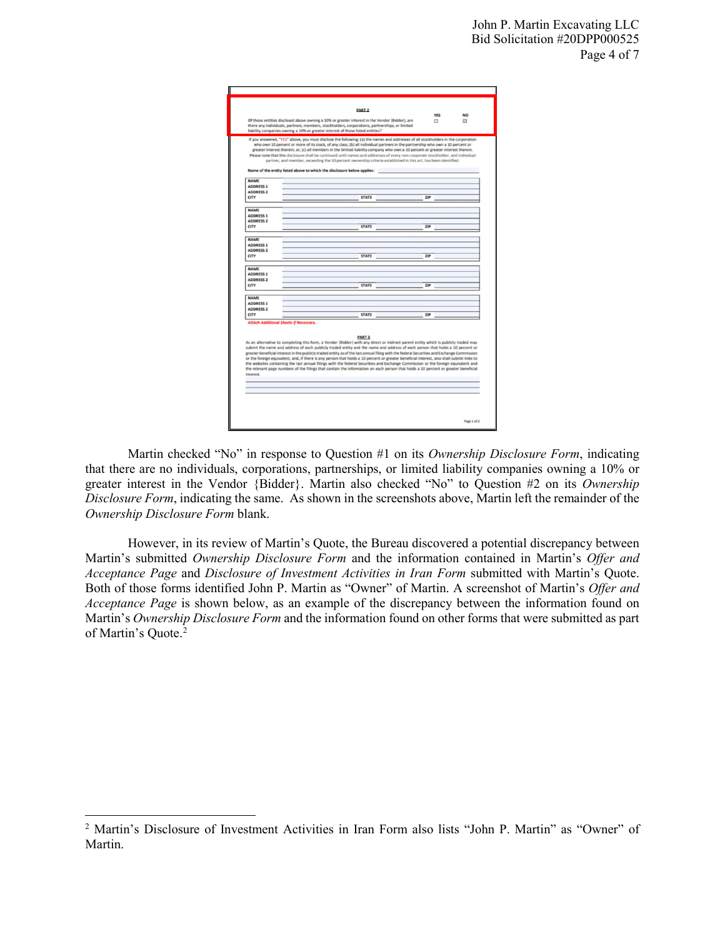| <b>YES</b><br><b>NO</b><br>Of those entities disclosed above owning a 10% or greater interest in the Vendor (Bidder), are<br>Θ<br>□<br>there any individuals, partners, members, stockholders, corporations, partnerships, or limited<br>liability companies owning a 10% or greater interest of those listed entities?<br>If you answered, "YES" above, you must disclose the following: (a) the names and addresses of all stockholders in the corporation<br>who own 10 percent or more of its stock, of any class; (b) all individual partners in the partnership who own a 10 percent or<br>greater interest therein; or, (c) all members in the limited liability company who own a 10 percent or greater interest therein.<br>Please note that this disclosure shall be continued until names and addresses of every non-corporate stockholder, and individual<br>partner, and member, exceeding the 10 percent ownership criteria established in this act, has been identified.<br>Name of the entity listed above to which the disclosure below applies:<br><b>NAME</b><br><b>ADDRESS 1</b><br><b>ADDRESS 2</b><br><b>STATE</b><br>71P<br><b>NAME</b><br><b>STATE</b><br>71P<br><b>STATE</b><br>ZIP<br><b>NAME</b><br><b>ADDRESS 1</b><br><b>ADDRESS 2</b><br><b>STATE</b><br><b>CITY</b><br>710<br><b>NAME</b><br><b>ADDRESS 1</b><br><b>STATE</b><br>21P<br><b>Attach Additional Sheets If Necessary.</b><br><b>PART 3</b><br>As an alternative to completing this form, a Vendor (Bidder) with any direct or indirect parent entity which is publicly traded may<br>submit the name and address of each publicly traded entity and the name and address of each person that holds a 10 percent or<br>greater beneficial interest in the publicly traded entity as of the last annual filing with the federal Securities and Exchange Commission<br>or the foreign equivalent, and, if there is any person that holds a 10 percent or greater beneficial interest, also shall submit links to<br>the websites containing the last annual filings with the federal Securities and Exchange Commission or the foreign equivalent and<br>the relevant page numbers of the filings that contain the information on each person that holds a 10 percent or greater beneficial<br>interest. |                  | <b>PART 2</b> |  |
|--------------------------------------------------------------------------------------------------------------------------------------------------------------------------------------------------------------------------------------------------------------------------------------------------------------------------------------------------------------------------------------------------------------------------------------------------------------------------------------------------------------------------------------------------------------------------------------------------------------------------------------------------------------------------------------------------------------------------------------------------------------------------------------------------------------------------------------------------------------------------------------------------------------------------------------------------------------------------------------------------------------------------------------------------------------------------------------------------------------------------------------------------------------------------------------------------------------------------------------------------------------------------------------------------------------------------------------------------------------------------------------------------------------------------------------------------------------------------------------------------------------------------------------------------------------------------------------------------------------------------------------------------------------------------------------------------------------------------------------------------------------------------------------------------------------------------------------------------------------------------------------------------------------------------------------------------------------------------------------------------------------------------------------------------------------------------------------------------------------------------------------------------------------------------------------------------------------------------------------------------------------------------------------------------|------------------|---------------|--|
|                                                                                                                                                                                                                                                                                                                                                                                                                                                                                                                                                                                                                                                                                                                                                                                                                                                                                                                                                                                                                                                                                                                                                                                                                                                                                                                                                                                                                                                                                                                                                                                                                                                                                                                                                                                                                                                                                                                                                                                                                                                                                                                                                                                                                                                                                                  |                  |               |  |
|                                                                                                                                                                                                                                                                                                                                                                                                                                                                                                                                                                                                                                                                                                                                                                                                                                                                                                                                                                                                                                                                                                                                                                                                                                                                                                                                                                                                                                                                                                                                                                                                                                                                                                                                                                                                                                                                                                                                                                                                                                                                                                                                                                                                                                                                                                  |                  |               |  |
|                                                                                                                                                                                                                                                                                                                                                                                                                                                                                                                                                                                                                                                                                                                                                                                                                                                                                                                                                                                                                                                                                                                                                                                                                                                                                                                                                                                                                                                                                                                                                                                                                                                                                                                                                                                                                                                                                                                                                                                                                                                                                                                                                                                                                                                                                                  |                  |               |  |
|                                                                                                                                                                                                                                                                                                                                                                                                                                                                                                                                                                                                                                                                                                                                                                                                                                                                                                                                                                                                                                                                                                                                                                                                                                                                                                                                                                                                                                                                                                                                                                                                                                                                                                                                                                                                                                                                                                                                                                                                                                                                                                                                                                                                                                                                                                  |                  |               |  |
|                                                                                                                                                                                                                                                                                                                                                                                                                                                                                                                                                                                                                                                                                                                                                                                                                                                                                                                                                                                                                                                                                                                                                                                                                                                                                                                                                                                                                                                                                                                                                                                                                                                                                                                                                                                                                                                                                                                                                                                                                                                                                                                                                                                                                                                                                                  |                  |               |  |
|                                                                                                                                                                                                                                                                                                                                                                                                                                                                                                                                                                                                                                                                                                                                                                                                                                                                                                                                                                                                                                                                                                                                                                                                                                                                                                                                                                                                                                                                                                                                                                                                                                                                                                                                                                                                                                                                                                                                                                                                                                                                                                                                                                                                                                                                                                  |                  |               |  |
|                                                                                                                                                                                                                                                                                                                                                                                                                                                                                                                                                                                                                                                                                                                                                                                                                                                                                                                                                                                                                                                                                                                                                                                                                                                                                                                                                                                                                                                                                                                                                                                                                                                                                                                                                                                                                                                                                                                                                                                                                                                                                                                                                                                                                                                                                                  |                  |               |  |
|                                                                                                                                                                                                                                                                                                                                                                                                                                                                                                                                                                                                                                                                                                                                                                                                                                                                                                                                                                                                                                                                                                                                                                                                                                                                                                                                                                                                                                                                                                                                                                                                                                                                                                                                                                                                                                                                                                                                                                                                                                                                                                                                                                                                                                                                                                  |                  |               |  |
|                                                                                                                                                                                                                                                                                                                                                                                                                                                                                                                                                                                                                                                                                                                                                                                                                                                                                                                                                                                                                                                                                                                                                                                                                                                                                                                                                                                                                                                                                                                                                                                                                                                                                                                                                                                                                                                                                                                                                                                                                                                                                                                                                                                                                                                                                                  |                  |               |  |
|                                                                                                                                                                                                                                                                                                                                                                                                                                                                                                                                                                                                                                                                                                                                                                                                                                                                                                                                                                                                                                                                                                                                                                                                                                                                                                                                                                                                                                                                                                                                                                                                                                                                                                                                                                                                                                                                                                                                                                                                                                                                                                                                                                                                                                                                                                  |                  |               |  |
|                                                                                                                                                                                                                                                                                                                                                                                                                                                                                                                                                                                                                                                                                                                                                                                                                                                                                                                                                                                                                                                                                                                                                                                                                                                                                                                                                                                                                                                                                                                                                                                                                                                                                                                                                                                                                                                                                                                                                                                                                                                                                                                                                                                                                                                                                                  |                  |               |  |
|                                                                                                                                                                                                                                                                                                                                                                                                                                                                                                                                                                                                                                                                                                                                                                                                                                                                                                                                                                                                                                                                                                                                                                                                                                                                                                                                                                                                                                                                                                                                                                                                                                                                                                                                                                                                                                                                                                                                                                                                                                                                                                                                                                                                                                                                                                  |                  |               |  |
|                                                                                                                                                                                                                                                                                                                                                                                                                                                                                                                                                                                                                                                                                                                                                                                                                                                                                                                                                                                                                                                                                                                                                                                                                                                                                                                                                                                                                                                                                                                                                                                                                                                                                                                                                                                                                                                                                                                                                                                                                                                                                                                                                                                                                                                                                                  |                  |               |  |
|                                                                                                                                                                                                                                                                                                                                                                                                                                                                                                                                                                                                                                                                                                                                                                                                                                                                                                                                                                                                                                                                                                                                                                                                                                                                                                                                                                                                                                                                                                                                                                                                                                                                                                                                                                                                                                                                                                                                                                                                                                                                                                                                                                                                                                                                                                  | <b>CITY</b>      |               |  |
|                                                                                                                                                                                                                                                                                                                                                                                                                                                                                                                                                                                                                                                                                                                                                                                                                                                                                                                                                                                                                                                                                                                                                                                                                                                                                                                                                                                                                                                                                                                                                                                                                                                                                                                                                                                                                                                                                                                                                                                                                                                                                                                                                                                                                                                                                                  |                  |               |  |
|                                                                                                                                                                                                                                                                                                                                                                                                                                                                                                                                                                                                                                                                                                                                                                                                                                                                                                                                                                                                                                                                                                                                                                                                                                                                                                                                                                                                                                                                                                                                                                                                                                                                                                                                                                                                                                                                                                                                                                                                                                                                                                                                                                                                                                                                                                  |                  |               |  |
|                                                                                                                                                                                                                                                                                                                                                                                                                                                                                                                                                                                                                                                                                                                                                                                                                                                                                                                                                                                                                                                                                                                                                                                                                                                                                                                                                                                                                                                                                                                                                                                                                                                                                                                                                                                                                                                                                                                                                                                                                                                                                                                                                                                                                                                                                                  | <b>ADDRESS 1</b> |               |  |
|                                                                                                                                                                                                                                                                                                                                                                                                                                                                                                                                                                                                                                                                                                                                                                                                                                                                                                                                                                                                                                                                                                                                                                                                                                                                                                                                                                                                                                                                                                                                                                                                                                                                                                                                                                                                                                                                                                                                                                                                                                                                                                                                                                                                                                                                                                  | <b>ADDRESS 2</b> |               |  |
|                                                                                                                                                                                                                                                                                                                                                                                                                                                                                                                                                                                                                                                                                                                                                                                                                                                                                                                                                                                                                                                                                                                                                                                                                                                                                                                                                                                                                                                                                                                                                                                                                                                                                                                                                                                                                                                                                                                                                                                                                                                                                                                                                                                                                                                                                                  | <b>CITY</b>      |               |  |
|                                                                                                                                                                                                                                                                                                                                                                                                                                                                                                                                                                                                                                                                                                                                                                                                                                                                                                                                                                                                                                                                                                                                                                                                                                                                                                                                                                                                                                                                                                                                                                                                                                                                                                                                                                                                                                                                                                                                                                                                                                                                                                                                                                                                                                                                                                  |                  |               |  |
|                                                                                                                                                                                                                                                                                                                                                                                                                                                                                                                                                                                                                                                                                                                                                                                                                                                                                                                                                                                                                                                                                                                                                                                                                                                                                                                                                                                                                                                                                                                                                                                                                                                                                                                                                                                                                                                                                                                                                                                                                                                                                                                                                                                                                                                                                                  | <b>NAME</b>      |               |  |
|                                                                                                                                                                                                                                                                                                                                                                                                                                                                                                                                                                                                                                                                                                                                                                                                                                                                                                                                                                                                                                                                                                                                                                                                                                                                                                                                                                                                                                                                                                                                                                                                                                                                                                                                                                                                                                                                                                                                                                                                                                                                                                                                                                                                                                                                                                  | <b>ADDRESS 1</b> |               |  |
|                                                                                                                                                                                                                                                                                                                                                                                                                                                                                                                                                                                                                                                                                                                                                                                                                                                                                                                                                                                                                                                                                                                                                                                                                                                                                                                                                                                                                                                                                                                                                                                                                                                                                                                                                                                                                                                                                                                                                                                                                                                                                                                                                                                                                                                                                                  | <b>ADDRESS 2</b> |               |  |
|                                                                                                                                                                                                                                                                                                                                                                                                                                                                                                                                                                                                                                                                                                                                                                                                                                                                                                                                                                                                                                                                                                                                                                                                                                                                                                                                                                                                                                                                                                                                                                                                                                                                                                                                                                                                                                                                                                                                                                                                                                                                                                                                                                                                                                                                                                  | <b>CITY</b>      |               |  |
|                                                                                                                                                                                                                                                                                                                                                                                                                                                                                                                                                                                                                                                                                                                                                                                                                                                                                                                                                                                                                                                                                                                                                                                                                                                                                                                                                                                                                                                                                                                                                                                                                                                                                                                                                                                                                                                                                                                                                                                                                                                                                                                                                                                                                                                                                                  |                  |               |  |
|                                                                                                                                                                                                                                                                                                                                                                                                                                                                                                                                                                                                                                                                                                                                                                                                                                                                                                                                                                                                                                                                                                                                                                                                                                                                                                                                                                                                                                                                                                                                                                                                                                                                                                                                                                                                                                                                                                                                                                                                                                                                                                                                                                                                                                                                                                  |                  |               |  |
|                                                                                                                                                                                                                                                                                                                                                                                                                                                                                                                                                                                                                                                                                                                                                                                                                                                                                                                                                                                                                                                                                                                                                                                                                                                                                                                                                                                                                                                                                                                                                                                                                                                                                                                                                                                                                                                                                                                                                                                                                                                                                                                                                                                                                                                                                                  |                  |               |  |
|                                                                                                                                                                                                                                                                                                                                                                                                                                                                                                                                                                                                                                                                                                                                                                                                                                                                                                                                                                                                                                                                                                                                                                                                                                                                                                                                                                                                                                                                                                                                                                                                                                                                                                                                                                                                                                                                                                                                                                                                                                                                                                                                                                                                                                                                                                  |                  |               |  |
|                                                                                                                                                                                                                                                                                                                                                                                                                                                                                                                                                                                                                                                                                                                                                                                                                                                                                                                                                                                                                                                                                                                                                                                                                                                                                                                                                                                                                                                                                                                                                                                                                                                                                                                                                                                                                                                                                                                                                                                                                                                                                                                                                                                                                                                                                                  |                  |               |  |
|                                                                                                                                                                                                                                                                                                                                                                                                                                                                                                                                                                                                                                                                                                                                                                                                                                                                                                                                                                                                                                                                                                                                                                                                                                                                                                                                                                                                                                                                                                                                                                                                                                                                                                                                                                                                                                                                                                                                                                                                                                                                                                                                                                                                                                                                                                  |                  |               |  |
|                                                                                                                                                                                                                                                                                                                                                                                                                                                                                                                                                                                                                                                                                                                                                                                                                                                                                                                                                                                                                                                                                                                                                                                                                                                                                                                                                                                                                                                                                                                                                                                                                                                                                                                                                                                                                                                                                                                                                                                                                                                                                                                                                                                                                                                                                                  |                  |               |  |
|                                                                                                                                                                                                                                                                                                                                                                                                                                                                                                                                                                                                                                                                                                                                                                                                                                                                                                                                                                                                                                                                                                                                                                                                                                                                                                                                                                                                                                                                                                                                                                                                                                                                                                                                                                                                                                                                                                                                                                                                                                                                                                                                                                                                                                                                                                  | <b>ADDRESS 2</b> |               |  |
|                                                                                                                                                                                                                                                                                                                                                                                                                                                                                                                                                                                                                                                                                                                                                                                                                                                                                                                                                                                                                                                                                                                                                                                                                                                                                                                                                                                                                                                                                                                                                                                                                                                                                                                                                                                                                                                                                                                                                                                                                                                                                                                                                                                                                                                                                                  | <b>CITY</b>      |               |  |
|                                                                                                                                                                                                                                                                                                                                                                                                                                                                                                                                                                                                                                                                                                                                                                                                                                                                                                                                                                                                                                                                                                                                                                                                                                                                                                                                                                                                                                                                                                                                                                                                                                                                                                                                                                                                                                                                                                                                                                                                                                                                                                                                                                                                                                                                                                  |                  |               |  |
|                                                                                                                                                                                                                                                                                                                                                                                                                                                                                                                                                                                                                                                                                                                                                                                                                                                                                                                                                                                                                                                                                                                                                                                                                                                                                                                                                                                                                                                                                                                                                                                                                                                                                                                                                                                                                                                                                                                                                                                                                                                                                                                                                                                                                                                                                                  |                  |               |  |
|                                                                                                                                                                                                                                                                                                                                                                                                                                                                                                                                                                                                                                                                                                                                                                                                                                                                                                                                                                                                                                                                                                                                                                                                                                                                                                                                                                                                                                                                                                                                                                                                                                                                                                                                                                                                                                                                                                                                                                                                                                                                                                                                                                                                                                                                                                  |                  |               |  |
|                                                                                                                                                                                                                                                                                                                                                                                                                                                                                                                                                                                                                                                                                                                                                                                                                                                                                                                                                                                                                                                                                                                                                                                                                                                                                                                                                                                                                                                                                                                                                                                                                                                                                                                                                                                                                                                                                                                                                                                                                                                                                                                                                                                                                                                                                                  |                  |               |  |
|                                                                                                                                                                                                                                                                                                                                                                                                                                                                                                                                                                                                                                                                                                                                                                                                                                                                                                                                                                                                                                                                                                                                                                                                                                                                                                                                                                                                                                                                                                                                                                                                                                                                                                                                                                                                                                                                                                                                                                                                                                                                                                                                                                                                                                                                                                  |                  |               |  |
|                                                                                                                                                                                                                                                                                                                                                                                                                                                                                                                                                                                                                                                                                                                                                                                                                                                                                                                                                                                                                                                                                                                                                                                                                                                                                                                                                                                                                                                                                                                                                                                                                                                                                                                                                                                                                                                                                                                                                                                                                                                                                                                                                                                                                                                                                                  |                  |               |  |
|                                                                                                                                                                                                                                                                                                                                                                                                                                                                                                                                                                                                                                                                                                                                                                                                                                                                                                                                                                                                                                                                                                                                                                                                                                                                                                                                                                                                                                                                                                                                                                                                                                                                                                                                                                                                                                                                                                                                                                                                                                                                                                                                                                                                                                                                                                  |                  |               |  |
|                                                                                                                                                                                                                                                                                                                                                                                                                                                                                                                                                                                                                                                                                                                                                                                                                                                                                                                                                                                                                                                                                                                                                                                                                                                                                                                                                                                                                                                                                                                                                                                                                                                                                                                                                                                                                                                                                                                                                                                                                                                                                                                                                                                                                                                                                                  |                  |               |  |
|                                                                                                                                                                                                                                                                                                                                                                                                                                                                                                                                                                                                                                                                                                                                                                                                                                                                                                                                                                                                                                                                                                                                                                                                                                                                                                                                                                                                                                                                                                                                                                                                                                                                                                                                                                                                                                                                                                                                                                                                                                                                                                                                                                                                                                                                                                  |                  |               |  |
|                                                                                                                                                                                                                                                                                                                                                                                                                                                                                                                                                                                                                                                                                                                                                                                                                                                                                                                                                                                                                                                                                                                                                                                                                                                                                                                                                                                                                                                                                                                                                                                                                                                                                                                                                                                                                                                                                                                                                                                                                                                                                                                                                                                                                                                                                                  |                  |               |  |
|                                                                                                                                                                                                                                                                                                                                                                                                                                                                                                                                                                                                                                                                                                                                                                                                                                                                                                                                                                                                                                                                                                                                                                                                                                                                                                                                                                                                                                                                                                                                                                                                                                                                                                                                                                                                                                                                                                                                                                                                                                                                                                                                                                                                                                                                                                  |                  |               |  |
|                                                                                                                                                                                                                                                                                                                                                                                                                                                                                                                                                                                                                                                                                                                                                                                                                                                                                                                                                                                                                                                                                                                                                                                                                                                                                                                                                                                                                                                                                                                                                                                                                                                                                                                                                                                                                                                                                                                                                                                                                                                                                                                                                                                                                                                                                                  |                  |               |  |
|                                                                                                                                                                                                                                                                                                                                                                                                                                                                                                                                                                                                                                                                                                                                                                                                                                                                                                                                                                                                                                                                                                                                                                                                                                                                                                                                                                                                                                                                                                                                                                                                                                                                                                                                                                                                                                                                                                                                                                                                                                                                                                                                                                                                                                                                                                  |                  |               |  |
|                                                                                                                                                                                                                                                                                                                                                                                                                                                                                                                                                                                                                                                                                                                                                                                                                                                                                                                                                                                                                                                                                                                                                                                                                                                                                                                                                                                                                                                                                                                                                                                                                                                                                                                                                                                                                                                                                                                                                                                                                                                                                                                                                                                                                                                                                                  |                  |               |  |
|                                                                                                                                                                                                                                                                                                                                                                                                                                                                                                                                                                                                                                                                                                                                                                                                                                                                                                                                                                                                                                                                                                                                                                                                                                                                                                                                                                                                                                                                                                                                                                                                                                                                                                                                                                                                                                                                                                                                                                                                                                                                                                                                                                                                                                                                                                  |                  |               |  |
|                                                                                                                                                                                                                                                                                                                                                                                                                                                                                                                                                                                                                                                                                                                                                                                                                                                                                                                                                                                                                                                                                                                                                                                                                                                                                                                                                                                                                                                                                                                                                                                                                                                                                                                                                                                                                                                                                                                                                                                                                                                                                                                                                                                                                                                                                                  |                  |               |  |
|                                                                                                                                                                                                                                                                                                                                                                                                                                                                                                                                                                                                                                                                                                                                                                                                                                                                                                                                                                                                                                                                                                                                                                                                                                                                                                                                                                                                                                                                                                                                                                                                                                                                                                                                                                                                                                                                                                                                                                                                                                                                                                                                                                                                                                                                                                  |                  |               |  |
| Page 2 of 2                                                                                                                                                                                                                                                                                                                                                                                                                                                                                                                                                                                                                                                                                                                                                                                                                                                                                                                                                                                                                                                                                                                                                                                                                                                                                                                                                                                                                                                                                                                                                                                                                                                                                                                                                                                                                                                                                                                                                                                                                                                                                                                                                                                                                                                                                      |                  |               |  |

Martin checked "No" in response to Question #1 on its *Ownership Disclosure Form*, indicating that there are no individuals, corporations, partnerships, or limited liability companies owning a 10% or greater interest in the Vendor {Bidder}. Martin also checked "No" to Question #2 on its *Ownership Disclosure Form*, indicating the same. As shown in the screenshots above, Martin left the remainder of the *Ownership Disclosure Form* blank.

However, in its review of Martin's Quote, the Bureau discovered a potential discrepancy between Martin's submitted *Ownership Disclosure Form* and the information contained in Martin's *Offer and Acceptance Page* and *Disclosure of Investment Activities in Iran Form* submitted with Martin's Quote. Both of those forms identified John P. Martin as "Owner" of Martin. A screenshot of Martin's *Offer and Acceptance Page* is shown below, as an example of the discrepancy between the information found on Martin's *Ownership Disclosure Form* and the information found on other forms that were submitted as part of Martin's Quote.<sup>[2](#page-3-0)</sup>

l

<span id="page-3-0"></span><sup>2</sup> Martin's Disclosure of Investment Activities in Iran Form also lists "John P. Martin" as "Owner" of Martin.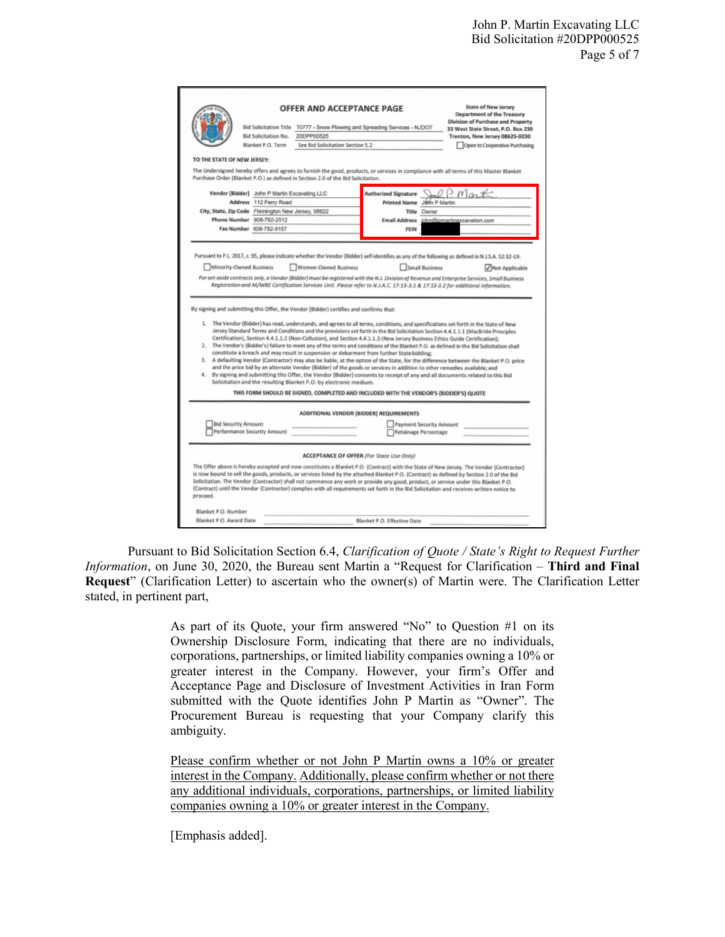|                                                | <b>Bid Solicitation No.</b><br>Blanket P.O. Term                 | <b>OFFER AND ACCEPTANCE PAGE</b><br>Bid Solicitation Title T0777 - Snow Plowing and Spreading Services - NJDOT<br>20DPP00525<br>See Bid Solicitation Section 5.2                                                                                                                                                                                                                                                                                                                                                 |                             |               | <b>State of New Jersey</b><br><b>Department of the Treasury</b><br>Division of Purchase and Property<br>33 West State Street, P.O. Box 230<br>Trenton, New Jersey 08625-0230<br>Open to Cooperative Purchasing                                                                                                                                                                                                                                                                                                                                                                                                                                                                               |
|------------------------------------------------|------------------------------------------------------------------|------------------------------------------------------------------------------------------------------------------------------------------------------------------------------------------------------------------------------------------------------------------------------------------------------------------------------------------------------------------------------------------------------------------------------------------------------------------------------------------------------------------|-----------------------------|---------------|----------------------------------------------------------------------------------------------------------------------------------------------------------------------------------------------------------------------------------------------------------------------------------------------------------------------------------------------------------------------------------------------------------------------------------------------------------------------------------------------------------------------------------------------------------------------------------------------------------------------------------------------------------------------------------------------|
| TO THE STATE OF NEW JERSEY:                    |                                                                  |                                                                                                                                                                                                                                                                                                                                                                                                                                                                                                                  |                             |               |                                                                                                                                                                                                                                                                                                                                                                                                                                                                                                                                                                                                                                                                                              |
|                                                |                                                                  | Purchase Order (Blanket P.O.) as defined in Section 2.0 of the Bid Solicitation.                                                                                                                                                                                                                                                                                                                                                                                                                                 |                             |               | The Undersigned hereby offers and agrees to furnish the good, products, or services in compliance with all terms of this Master Blanket                                                                                                                                                                                                                                                                                                                                                                                                                                                                                                                                                      |
|                                                | Vendor {Bidder} John P Martin Excavating LLC                     |                                                                                                                                                                                                                                                                                                                                                                                                                                                                                                                  | <b>Authorized Signature</b> |               | $m_{\alpha}$                                                                                                                                                                                                                                                                                                                                                                                                                                                                                                                                                                                                                                                                                 |
|                                                | Address 112 Ferry Road                                           |                                                                                                                                                                                                                                                                                                                                                                                                                                                                                                                  | <b>Printed Name</b>         | John P Martin |                                                                                                                                                                                                                                                                                                                                                                                                                                                                                                                                                                                                                                                                                              |
|                                                | City, State, Zip Code Flemington New Jersey, 08822               |                                                                                                                                                                                                                                                                                                                                                                                                                                                                                                                  |                             | Title Owner   |                                                                                                                                                                                                                                                                                                                                                                                                                                                                                                                                                                                                                                                                                              |
|                                                | Phone Number 908-782-2512                                        |                                                                                                                                                                                                                                                                                                                                                                                                                                                                                                                  | <b>Email Address</b>        |               | john@jpmartinexcavation.com                                                                                                                                                                                                                                                                                                                                                                                                                                                                                                                                                                                                                                                                  |
|                                                | Fax Number 908-782-8157                                          |                                                                                                                                                                                                                                                                                                                                                                                                                                                                                                                  | FEIN                        |               |                                                                                                                                                                                                                                                                                                                                                                                                                                                                                                                                                                                                                                                                                              |
|                                                |                                                                  |                                                                                                                                                                                                                                                                                                                                                                                                                                                                                                                  |                             |               | Registration and M/WBE Certification Services Unit. Please refer to N.J.A.C. 17:13-3.1 & 17:13-3.2 for additional information.                                                                                                                                                                                                                                                                                                                                                                                                                                                                                                                                                               |
|                                                |                                                                  | By signing and submitting this Offer, the Vendor (Bidder) certifies and confirms that:                                                                                                                                                                                                                                                                                                                                                                                                                           |                             |               |                                                                                                                                                                                                                                                                                                                                                                                                                                                                                                                                                                                                                                                                                              |
|                                                |                                                                  | Certification), Section 4.4.1.1.2 (Non-Collusion), and Section 4.4.1.1.3 (New Jersey Business Ethics Guide Certification);<br>constitute a breach and may result in suspension or debarment from further State bidding;<br>and the price bid by an alternate Vendor (Bidder) of the goods or services in addition to other remedies available; and<br>Solicitation and the resulting Blanket P.O. by electronic medium.<br>THIS FORM SHOULD BE SIGNED, COMPLETED AND INCLUDED WITH THE VENDOR'S (BIDDER'S) QUOTE |                             |               | 1. The Vendor (Bidder) has read, understands, and agrees to all terms, conditions, and specifications set forth in the State of New<br>Jersey Standard Terms and Conditions and the provisions set forth in the Bid Solicitation Section 4.4.1.1.1 (MacBride Principles<br>2. The Vendor's {Bidder's} failure to meet any of the terms and conditions of the Blanket P.O. as defined in the Bid Solicitation shall<br>3. A defaulting Vendor (Contractor) may also be liable, at the option of the State, for the difference between the Blanket P.O. price<br>4. By signing and submitting this Offer, the Vendor (Bidder) consents to receipt of any and all documents related to this Bid |
|                                                | <b>Bid Security Amount</b><br><b>Performance Security Amount</b> | ADDITIONAL VENDOR (BIDDER) REQUIREMENTS                                                                                                                                                                                                                                                                                                                                                                                                                                                                          | Payment Security Amount     |               |                                                                                                                                                                                                                                                                                                                                                                                                                                                                                                                                                                                                                                                                                              |
| proceed.                                       |                                                                  | <b>ACCEPTANCE OF OFFER (For State Use Only)</b>                                                                                                                                                                                                                                                                                                                                                                                                                                                                  | Retainage Percentage        |               | The Offer above is hereby accepted and now constitutes a Blanket P.O. (Contract) with the State of New Jersey. The Vendor (Contractor)<br>is now bound to sell the goods, products, or services listed by the attached Blanket P.O. {Contract} as defined by Section 2.0 of the Bid<br>Solicitation. The Vendor (Contractor) shall not commence any work or provide any good, product, or service under this Blanket P.O.<br>(Contract) until the Vendor (Contractor) complies with all requirements set forth in the Bid Solicitation and receives written notice to                                                                                                                        |
| Blanket P.O. Number<br>Blanket P.O. Award Date |                                                                  |                                                                                                                                                                                                                                                                                                                                                                                                                                                                                                                  | Blanket P.O. Effective Date |               |                                                                                                                                                                                                                                                                                                                                                                                                                                                                                                                                                                                                                                                                                              |

Pursuant to Bid Solicitation Section 6.4, *Clarification of Quote / State's Right to Request Further Information*, on June 30, 2020, the Bureau sent Martin a "Request for Clarification – **Third and Final Request**" (Clarification Letter) to ascertain who the owner(s) of Martin were. The Clarification Letter stated, in pertinent part,

> As part of its Quote, your firm answered "No" to Question #1 on its Ownership Disclosure Form, indicating that there are no individuals, corporations, partnerships, or limited liability companies owning a 10% or greater interest in the Company. However, your firm's Offer and Acceptance Page and Disclosure of Investment Activities in Iran Form submitted with the Quote identifies John P Martin as "Owner". The Procurement Bureau is requesting that your Company clarify this ambiguity.

> Please confirm whether or not John P Martin owns a 10% or greater interest in the Company. Additionally, please confirm whether or not there any additional individuals, corporations, partnerships, or limited liability companies owning a 10% or greater interest in the Company.

[Emphasis added].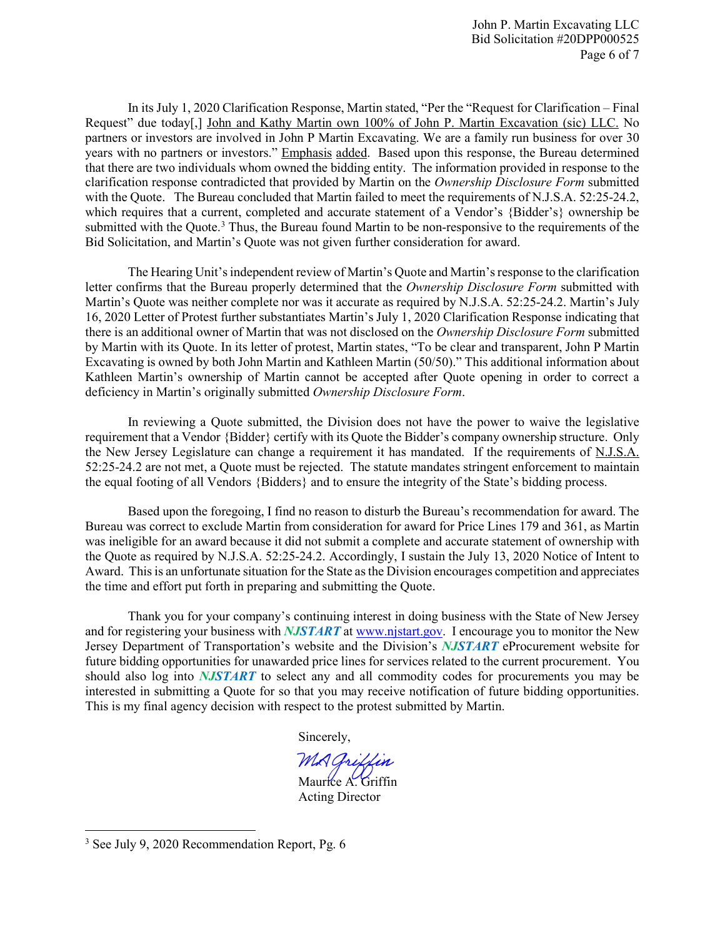In its July 1, 2020 Clarification Response, Martin stated, "Per the "Request for Clarification – Final Request" due today[,] John and Kathy Martin own 100% of John P. Martin Excavation (sic) LLC. No partners or investors are involved in John P Martin Excavating. We are a family run business for over 30 years with no partners or investors." Emphasis added. Based upon this response, the Bureau determined that there are two individuals whom owned the bidding entity. The information provided in response to the clarification response contradicted that provided by Martin on the *Ownership Disclosure Form* submitted with the Quote. The Bureau concluded that Martin failed to meet the requirements of N.J.S.A. 52:25-24.2, which requires that a current, completed and accurate statement of a Vendor's {Bidder's} ownership be submitted with the Quote.<sup>[3](#page-5-0)</sup> Thus, the Bureau found Martin to be non-responsive to the requirements of the Bid Solicitation, and Martin's Quote was not given further consideration for award.

The Hearing Unit's independent review of Martin's Quote and Martin's response to the clarification letter confirms that the Bureau properly determined that the *Ownership Disclosure Form* submitted with Martin's Quote was neither complete nor was it accurate as required by N.J.S.A. 52:25-24.2. Martin's July 16, 2020 Letter of Protest further substantiates Martin's July 1, 2020 Clarification Response indicating that there is an additional owner of Martin that was not disclosed on the *Ownership Disclosure Form* submitted by Martin with its Quote. In its letter of protest, Martin states, "To be clear and transparent, John P Martin Excavating is owned by both John Martin and Kathleen Martin (50/50)." This additional information about Kathleen Martin's ownership of Martin cannot be accepted after Quote opening in order to correct a deficiency in Martin's originally submitted *Ownership Disclosure Form*.

In reviewing a Quote submitted, the Division does not have the power to waive the legislative requirement that a Vendor {Bidder} certify with its Quote the Bidder's company ownership structure. Only the New Jersey Legislature can change a requirement it has mandated. If the requirements of N.J.S.A. 52:25-24.2 are not met, a Quote must be rejected. The statute mandates stringent enforcement to maintain the equal footing of all Vendors {Bidders} and to ensure the integrity of the State's bidding process.

Based upon the foregoing, I find no reason to disturb the Bureau's recommendation for award. The Bureau was correct to exclude Martin from consideration for award for Price Lines 179 and 361, as Martin was ineligible for an award because it did not submit a complete and accurate statement of ownership with the Quote as required by N.J.S.A. 52:25-24.2. Accordingly, I sustain the July 13, 2020 Notice of Intent to Award. This is an unfortunate situation for the State as the Division encourages competition and appreciates the time and effort put forth in preparing and submitting the Quote.

Thank you for your company's continuing interest in doing business with the State of New Jersey and for registering your business with *NJSTART* a[t www.njstart.gov.](http://www.njstart.gov/) I encourage you to monitor the New Jersey Department of Transportation's website and the Division's *NJSTART* eProcurement website for future bidding opportunities for unawarded price lines for services related to the current procurement. You should also log into *NJSTART* to select any and all commodity codes for procurements you may be interested in submitting a Quote for so that you may receive notification of future bidding opportunities. This is my final agency decision with respect to the protest submitted by Martin.

Sincerely,

MA Ariffin Maurice A. Griffin

Acting Director

l

<span id="page-5-0"></span><sup>&</sup>lt;sup>3</sup> See July 9, 2020 Recommendation Report, Pg. 6